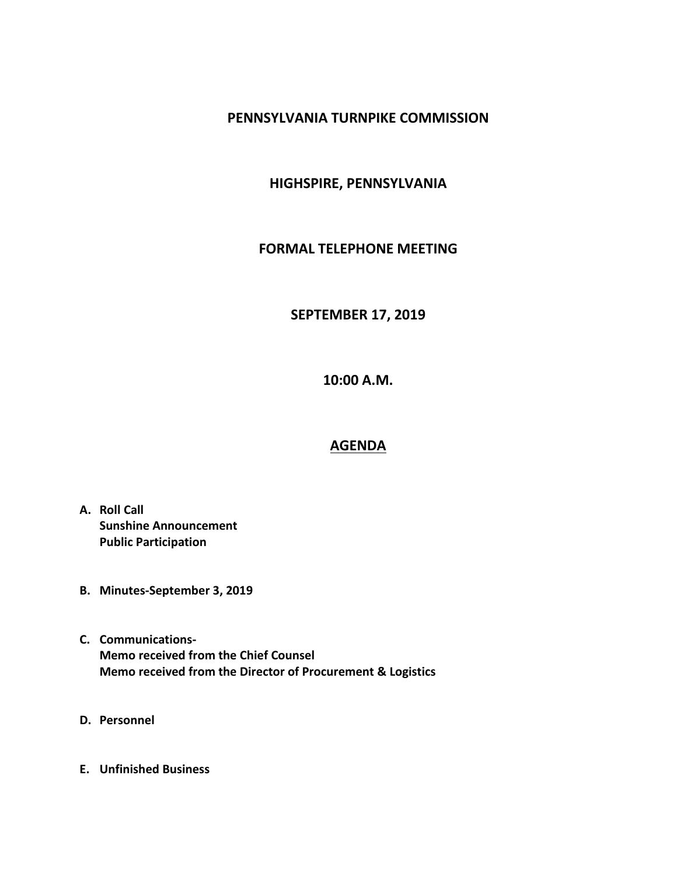#### **PENNSYLVANIA TURNPIKE COMMISSION**

### **HIGHSPIRE, PENNSYLVANIA**

#### **FORMAL TELEPHONE MEETING**

# **SEPTEMBER 17, 2019**

**10:00 A.M.**

## **AGENDA**

- **A. Roll Call Sunshine Announcement Public Participation**
- **B. Minutes-September 3, 2019**
- **C. Communications-Memo received from the Chief Counsel Memo received from the Director of Procurement & Logistics**
- **D. Personnel**
- **E. Unfinished Business**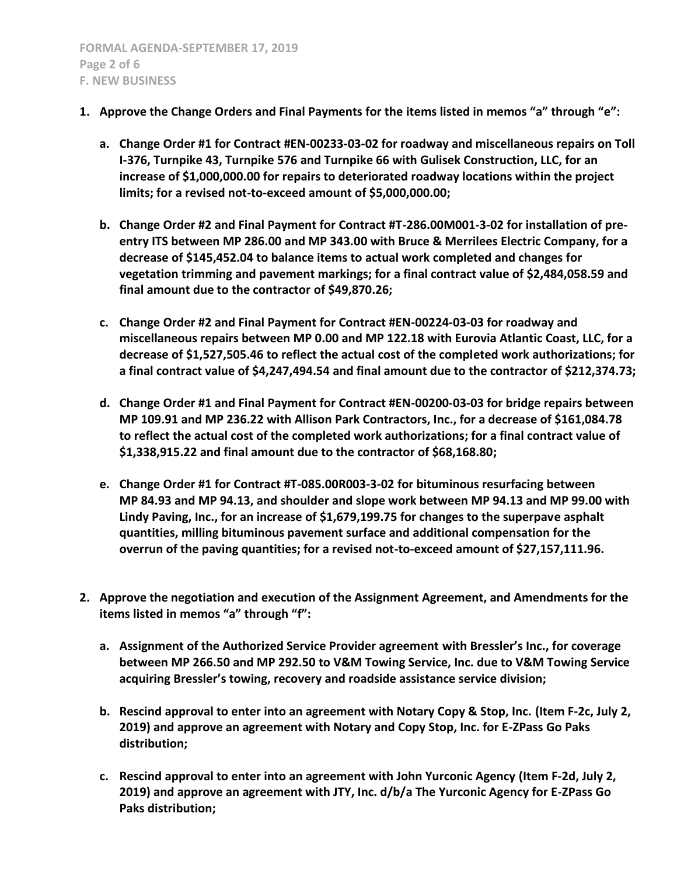- **1. Approve the Change Orders and Final Payments for the items listed in memos "a" through "e":**
	- **a. Change Order #1 for Contract #EN-00233-03-02 for roadway and miscellaneous repairs on Toll I-376, Turnpike 43, Turnpike 576 and Turnpike 66 with Gulisek Construction, LLC, for an increase of \$1,000,000.00 for repairs to deteriorated roadway locations within the project limits; for a revised not-to-exceed amount of \$5,000,000.00;**
	- **b. Change Order #2 and Final Payment for Contract #T-286.00M001-3-02 for installation of preentry ITS between MP 286.00 and MP 343.00 with Bruce & Merrilees Electric Company, for a decrease of \$145,452.04 to balance items to actual work completed and changes for vegetation trimming and pavement markings; for a final contract value of \$2,484,058.59 and final amount due to the contractor of \$49,870.26;**
	- **c. Change Order #2 and Final Payment for Contract #EN-00224-03-03 for roadway and miscellaneous repairs between MP 0.00 and MP 122.18 with Eurovia Atlantic Coast, LLC, for a decrease of \$1,527,505.46 to reflect the actual cost of the completed work authorizations; for a final contract value of \$4,247,494.54 and final amount due to the contractor of \$212,374.73;**
	- **d. Change Order #1 and Final Payment for Contract #EN-00200-03-03 for bridge repairs between MP 109.91 and MP 236.22 with Allison Park Contractors, Inc., for a decrease of \$161,084.78 to reflect the actual cost of the completed work authorizations; for a final contract value of \$1,338,915.22 and final amount due to the contractor of \$68,168.80;**
	- **e. Change Order #1 for Contract #T-085.00R003-3-02 for bituminous resurfacing between MP 84.93 and MP 94.13, and shoulder and slope work between MP 94.13 and MP 99.00 with Lindy Paving, Inc., for an increase of \$1,679,199.75 for changes to the superpave asphalt quantities, milling bituminous pavement surface and additional compensation for the overrun of the paving quantities; for a revised not-to-exceed amount of \$27,157,111.96.**
- **2. Approve the negotiation and execution of the Assignment Agreement, and Amendments for the items listed in memos "a" through "f":**
	- **a. Assignment of the Authorized Service Provider agreement with Bressler's Inc., for coverage between MP 266.50 and MP 292.50 to V&M Towing Service, Inc. due to V&M Towing Service acquiring Bressler's towing, recovery and roadside assistance service division;**
	- **b. Rescind approval to enter into an agreement with Notary Copy & Stop, Inc. (Item F-2c, July 2, 2019) and approve an agreement with Notary and Copy Stop, Inc. for E-ZPass Go Paks distribution;**
	- **c. Rescind approval to enter into an agreement with John Yurconic Agency (Item F-2d, July 2, 2019) and approve an agreement with JTY, Inc. d/b/a The Yurconic Agency for E-ZPass Go Paks distribution;**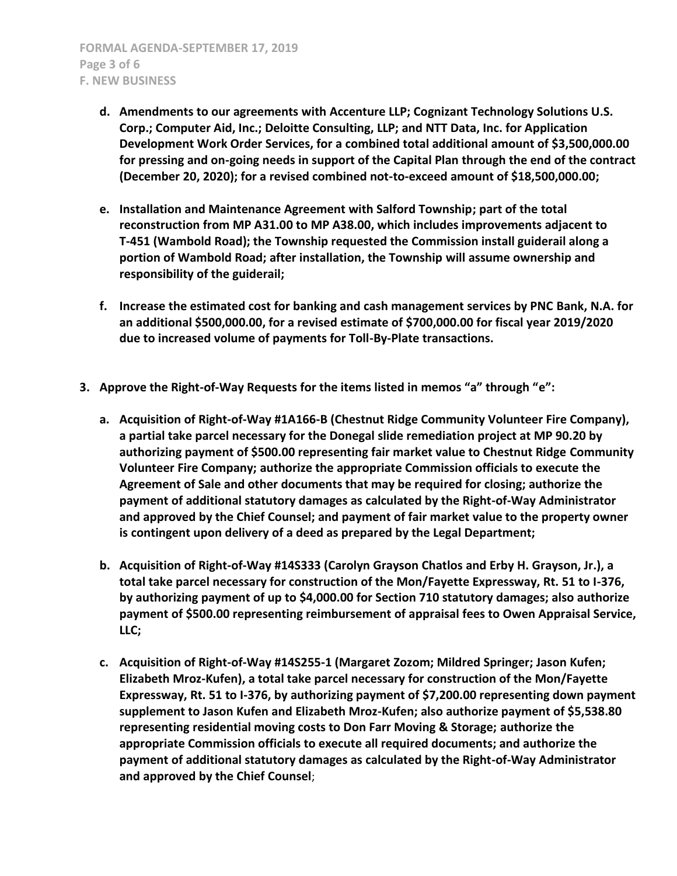- **d. Amendments to our agreements with Accenture LLP; Cognizant Technology Solutions U.S. Corp.; Computer Aid, Inc.; Deloitte Consulting, LLP; and NTT Data, Inc. for Application Development Work Order Services, for a combined total additional amount of \$3,500,000.00 for pressing and on-going needs in support of the Capital Plan through the end of the contract (December 20, 2020); for a revised combined not-to-exceed amount of \$18,500,000.00;**
- **e. Installation and Maintenance Agreement with Salford Township; part of the total reconstruction from MP A31.00 to MP A38.00, which includes improvements adjacent to T-451 (Wambold Road); the Township requested the Commission install guiderail along a portion of Wambold Road; after installation, the Township will assume ownership and responsibility of the guiderail;**
- **f. Increase the estimated cost for banking and cash management services by PNC Bank, N.A. for an additional \$500,000.00, for a revised estimate of \$700,000.00 for fiscal year 2019/2020 due to increased volume of payments for Toll-By-Plate transactions.**
- **3. Approve the Right-of-Way Requests for the items listed in memos "a" through "e":**
	- **a. Acquisition of Right-of-Way #1A166-B (Chestnut Ridge Community Volunteer Fire Company), a partial take parcel necessary for the Donegal slide remediation project at MP 90.20 by authorizing payment of \$500.00 representing fair market value to Chestnut Ridge Community Volunteer Fire Company; authorize the appropriate Commission officials to execute the Agreement of Sale and other documents that may be required for closing; authorize the payment of additional statutory damages as calculated by the Right-of-Way Administrator and approved by the Chief Counsel; and payment of fair market value to the property owner is contingent upon delivery of a deed as prepared by the Legal Department;**
	- **b. Acquisition of Right-of-Way #14S333 (Carolyn Grayson Chatlos and Erby H. Grayson, Jr.), a total take parcel necessary for construction of the Mon/Fayette Expressway, Rt. 51 to I-376, by authorizing payment of up to \$4,000.00 for Section 710 statutory damages; also authorize payment of \$500.00 representing reimbursement of appraisal fees to Owen Appraisal Service, LLC;**
	- **c. Acquisition of Right-of-Way #14S255-1 (Margaret Zozom; Mildred Springer; Jason Kufen; Elizabeth Mroz-Kufen), a total take parcel necessary for construction of the Mon/Fayette Expressway, Rt. 51 to I-376, by authorizing payment of \$7,200.00 representing down payment supplement to Jason Kufen and Elizabeth Mroz-Kufen; also authorize payment of \$5,538.80 representing residential moving costs to Don Farr Moving & Storage; authorize the appropriate Commission officials to execute all required documents; and authorize the payment of additional statutory damages as calculated by the Right-of-Way Administrator and approved by the Chief Counsel**;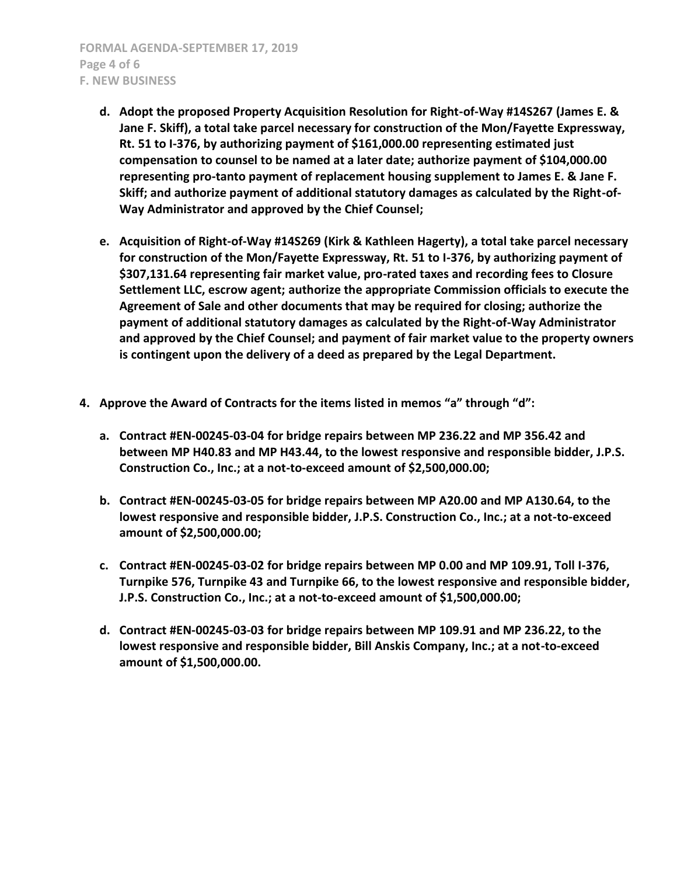**FORMAL AGENDA-SEPTEMBER 17, 2019 Page 4 of 6 F. NEW BUSINESS**

- **d. Adopt the proposed Property Acquisition Resolution for Right-of-Way #14S267 (James E. & Jane F. Skiff), a total take parcel necessary for construction of the Mon/Fayette Expressway, Rt. 51 to I-376, by authorizing payment of \$161,000.00 representing estimated just compensation to counsel to be named at a later date; authorize payment of \$104,000.00 representing pro-tanto payment of replacement housing supplement to James E. & Jane F. Skiff; and authorize payment of additional statutory damages as calculated by the Right-of-Way Administrator and approved by the Chief Counsel;**
- **e. Acquisition of Right-of-Way #14S269 (Kirk & Kathleen Hagerty), a total take parcel necessary for construction of the Mon/Fayette Expressway, Rt. 51 to I-376, by authorizing payment of \$307,131.64 representing fair market value, pro-rated taxes and recording fees to Closure Settlement LLC, escrow agent; authorize the appropriate Commission officials to execute the Agreement of Sale and other documents that may be required for closing; authorize the payment of additional statutory damages as calculated by the Right-of-Way Administrator and approved by the Chief Counsel; and payment of fair market value to the property owners is contingent upon the delivery of a deed as prepared by the Legal Department.**
- **4. Approve the Award of Contracts for the items listed in memos "a" through "d":**
	- **a. Contract #EN-00245-03-04 for bridge repairs between MP 236.22 and MP 356.42 and between MP H40.83 and MP H43.44, to the lowest responsive and responsible bidder, J.P.S. Construction Co., Inc.; at a not-to-exceed amount of \$2,500,000.00;**
	- **b. Contract #EN-00245-03-05 for bridge repairs between MP A20.00 and MP A130.64, to the lowest responsive and responsible bidder, J.P.S. Construction Co., Inc.; at a not-to-exceed amount of \$2,500,000.00;**
	- **c. Contract #EN-00245-03-02 for bridge repairs between MP 0.00 and MP 109.91, Toll I-376, Turnpike 576, Turnpike 43 and Turnpike 66, to the lowest responsive and responsible bidder, J.P.S. Construction Co., Inc.; at a not-to-exceed amount of \$1,500,000.00;**
	- **d. Contract #EN-00245-03-03 for bridge repairs between MP 109.91 and MP 236.22, to the lowest responsive and responsible bidder, Bill Anskis Company, Inc.; at a not-to-exceed amount of \$1,500,000.00.**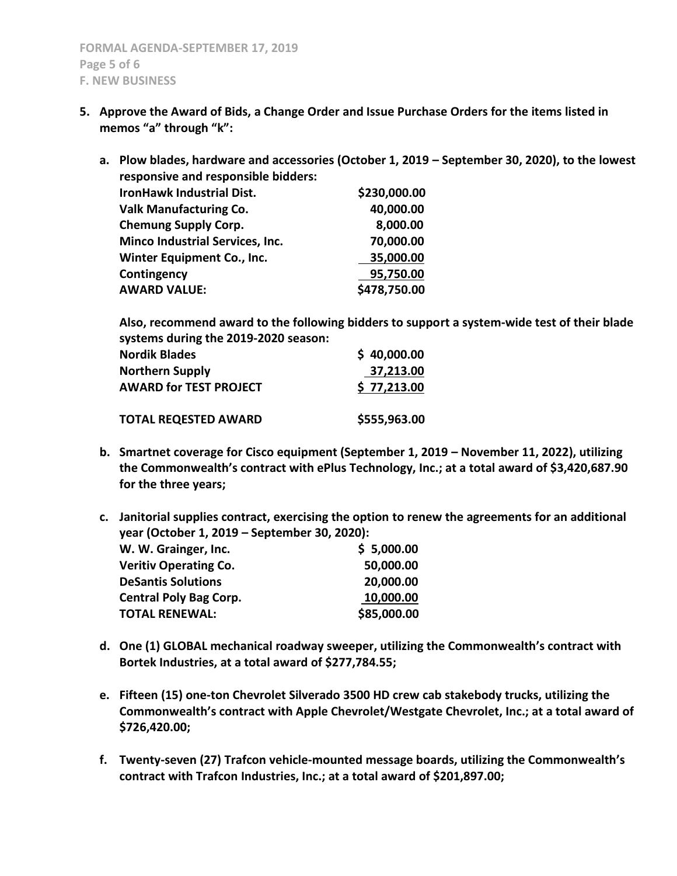- **5. Approve the Award of Bids, a Change Order and Issue Purchase Orders for the items listed in memos "a" through "k":**
	- **a. Plow blades, hardware and accessories (October 1, 2019 – September 30, 2020), to the lowest responsive and responsible bidders: IronHawk Industrial Dist. \$230,000.00 Valk Manufacturing Co. 40,000.00 Chemung Supply Corp.** 8,000.00 **Minco Industrial Services, Inc. 70,000.00 Winter Equipment Co., Inc. 35,000.00 Contingency 95,750.00 AWARD VALUE: \$478,750.00**

**Also, recommend award to the following bidders to support a system-wide test of their blade systems during the 2019-2020 season:**

| <b>Nordik Blades</b>          | \$40,000.00  |
|-------------------------------|--------------|
| <b>Northern Supply</b>        | 37,213.00    |
| <b>AWARD for TEST PROJECT</b> | \$77,213.00  |
| <b>TOTAL REQESTED AWARD</b>   | \$555,963.00 |

**b. Smartnet coverage for Cisco equipment (September 1, 2019 – November 11, 2022), utilizing the Commonwealth's contract with ePlus Technology, Inc.; at a total award of \$3,420,687.90 for the three years;**

**c. Janitorial supplies contract, exercising the option to renew the agreements for an additional year (October 1, 2019 – September 30, 2020):**

| W. W. Grainger, Inc.          | \$5,000.00  |
|-------------------------------|-------------|
| <b>Veritiv Operating Co.</b>  | 50,000.00   |
| <b>DeSantis Solutions</b>     | 20,000.00   |
| <b>Central Poly Bag Corp.</b> | 10,000.00   |
| <b>TOTAL RENEWAL:</b>         | \$85,000.00 |

- **d. One (1) GLOBAL mechanical roadway sweeper, utilizing the Commonwealth's contract with Bortek Industries, at a total award of \$277,784.55;**
- **e. Fifteen (15) one-ton Chevrolet Silverado 3500 HD crew cab stakebody trucks, utilizing the Commonwealth's contract with Apple Chevrolet/Westgate Chevrolet, Inc.; at a total award of \$726,420.00;**
- **f. Twenty-seven (27) Trafcon vehicle-mounted message boards, utilizing the Commonwealth's contract with Trafcon Industries, Inc.; at a total award of \$201,897.00;**